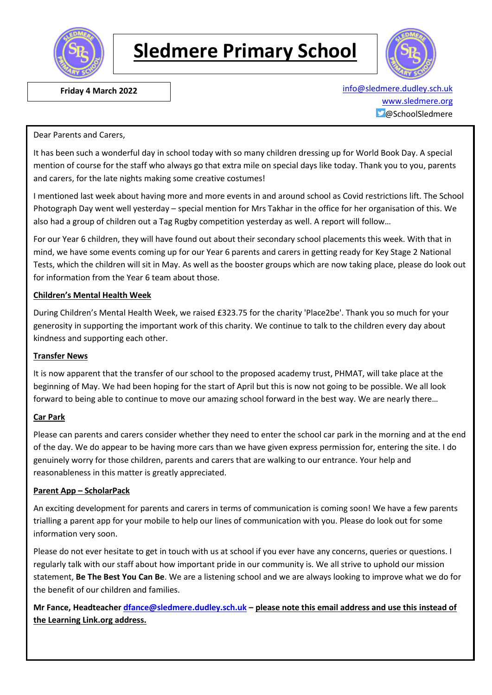

# **Sledmere Primary School**



 **Friday 4 March 2022** [info@sledmere.dudley.sch.uk](mailto:info@sledmere.dudley.sch.uk) [www.sledmere.org](http://www.sledmere.org/) @SchoolSledmere

#### Dear Parents and Carers,

It has been such a wonderful day in school today with so many children dressing up for World Book Day. A special mention of course for the staff who always go that extra mile on special days like today. Thank you to you, parents and carers, for the late nights making some creative costumes!

I mentioned last week about having more and more events in and around school as Covid restrictions lift. The School Photograph Day went well yesterday – special mention for Mrs Takhar in the office for her organisation of this. We also had a group of children out a Tag Rugby competition yesterday as well. A report will follow…

For our Year 6 children, they will have found out about their secondary school placements this week. With that in mind, we have some events coming up for our Year 6 parents and carers in getting ready for Key Stage 2 National Tests, which the children will sit in May. As well as the booster groups which are now taking place, please do look out for information from the Year 6 team about those.

#### **Children's Mental Health Week**

During Children's Mental Health Week, we raised £323.75 for the charity 'Place2be'. Thank you so much for your generosity in supporting the important work of this charity. We continue to talk to the children every day about kindness and supporting each other.

#### **Transfer News**

It is now apparent that the transfer of our school to the proposed academy trust, PHMAT, will take place at the beginning of May. We had been hoping for the start of April but this is now not going to be possible. We all look forward to being able to continue to move our amazing school forward in the best way. We are nearly there…

#### **Car Park**

Please can parents and carers consider whether they need to enter the school car park in the morning and at the end of the day. We do appear to be having more cars than we have given express permission for, entering the site. I do genuinely worry for those children, parents and carers that are walking to our entrance. Your help and reasonableness in this matter is greatly appreciated.

#### **Parent App – ScholarPack**

An exciting development for parents and carers in terms of communication is coming soon! We have a few parents trialling a parent app for your mobile to help our lines of communication with you. Please do look out for some information very soon.

Please do not ever hesitate to get in touch with us at school if you ever have any concerns, queries or questions. I regularly talk with our staff about how important pride in our community is. We all strive to uphold our mission statement, **Be The Best You Can Be**. We are a listening school and we are always looking to improve what we do for the benefit of our children and families.

**Mr Fance, Headteacher [dfance@sledmere.dudley.sch.uk](mailto:dfance@sledmere.dudley.sch.uk) – please note this email address and use this instead of the Learning Link.org address.**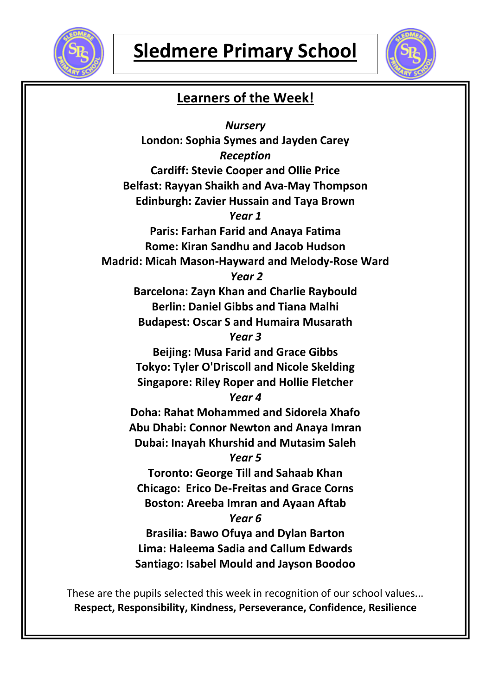



## **Learners of the Week!**

*Nursery* **London: Sophia Symes and Jayden Carey** *Reception* **Cardiff: Stevie Cooper and Ollie Price Belfast: Rayyan Shaikh and Ava-May Thompson Edinburgh: Zavier Hussain and Taya Brown** *Year 1* **Paris: Farhan Farid and Anaya Fatima Rome: Kiran Sandhu and Jacob Hudson Madrid: Micah Mason-Hayward and Melody-Rose Ward** *Year 2* **Barcelona: Zayn Khan and Charlie Raybould Berlin: Daniel Gibbs and Tiana Malhi Budapest: Oscar S and Humaira Musarath** *Year 3* **Beijing: Musa Farid and Grace Gibbs Tokyo: Tyler O'Driscoll and Nicole Skelding Singapore: Riley Roper and Hollie Fletcher** *Year 4* **Doha: Rahat Mohammed and Sidorela Xhafo Abu Dhabi: Connor Newton and Anaya Imran Dubai: Inayah Khurshid and Mutasim Saleh** *Year 5* **Toronto: George Till and Sahaab Khan Chicago: Erico De-Freitas and Grace Corns Boston: Areeba Imran and Ayaan Aftab** *Year 6* **Brasilia: Bawo Ofuya and Dylan Barton Lima: Haleema Sadia and Callum Edwards Santiago: Isabel Mould and Jayson Boodoo**

These are the pupils selected this week in recognition of our school values... **Respect, Responsibility, Kindness, Perseverance, Confidence, Resilience**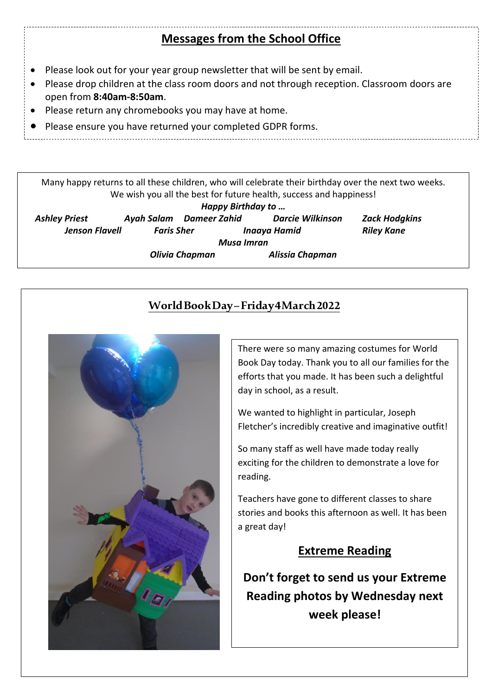## **Sledmere Primary School Since Messages from the School Office**

- Please look out for your year group newsletter that will be sent by email.
- Please drop children at the class room doors and not through reception. Classroom doors are open from **8:40am-8:50am**.
- Please return any chromebooks you may have at home.

 $\ddot{\phantom{0}}$ 

Please ensure you have returned your completed GDPR forms.

Many happy returns to all these children, who will celebrate their birthday over the next two weeks. We wish you all the best for future health, success and happiness!

| Happy Birthday to     |                   |                       |                         |                      |  |
|-----------------------|-------------------|-----------------------|-------------------------|----------------------|--|
| <b>Ashley Priest</b>  | Ayah Salam        | Dameer Zahid          | <b>Darcie Wilkinson</b> | <b>Zack Hodgkins</b> |  |
| <b>Jenson Flavell</b> | <b>Faris Sher</b> |                       | Inaaya Hamid            | <b>Riley Kane</b>    |  |
| Musa Imran            |                   |                       |                         |                      |  |
|                       |                   | <b>Olivia Chapman</b> | Alissia Chapman         |                      |  |

## **World Book Day –Friday 4 March2022**



There were so many amazing costumes for World Book Day today. Thank you to all our families for the efforts that you made. It has been such a delightful day in school, as a result.

We wanted to highlight in particular, Joseph Fletcher's incredibly creative and imaginative outfit!

So many staff as well have made today really exciting for the children to demonstrate a love for reading.

Teachers have gone to different classes to share stories and books this afternoon as well. It has been a great day!

## **Extreme Reading**

**Don't forget to send us your Extreme Reading photos by Wednesday next week please!**